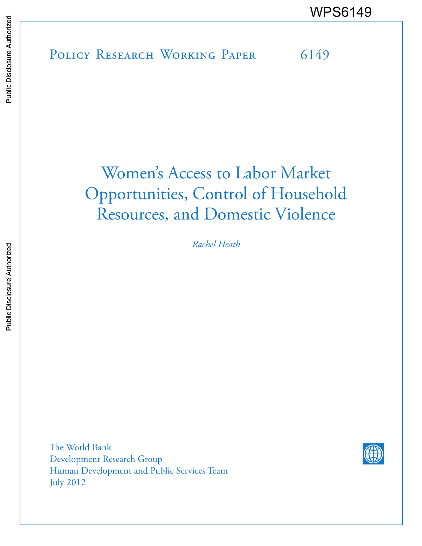POLICY RESEARCH WORKING PAPER 6149 WPS6149

# Women's Access to Labor Market Opportunities, Control of Household Resources, and Domestic Violence

*Rachel Heath*

The World Bank Development Research Group Human Development and Public Services Team July 2012

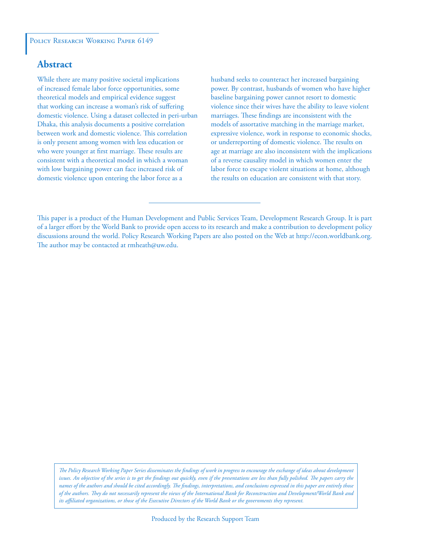#### **Abstract**

While there are many positive societal implications of increased female labor force opportunities, some theoretical models and empirical evidence suggest that working can increase a woman's risk of suffering domestic violence. Using a dataset collected in peri-urban Dhaka, this analysis documents a positive correlation between work and domestic violence. This correlation is only present among women with less education or who were younger at first marriage. These results are consistent with a theoretical model in which a woman with low bargaining power can face increased risk of domestic violence upon entering the labor force as a

husband seeks to counteract her increased bargaining power. By contrast, husbands of women who have higher baseline bargaining power cannot resort to domestic violence since their wives have the ability to leave violent marriages. These findings are inconsistent with the models of assortative matching in the marriage market, expressive violence, work in response to economic shocks, or underreporting of domestic violence. The results on age at marriage are also inconsistent with the implications of a reverse causality model in which women enter the labor force to escape violent situations at home, although the results on education are consistent with that story.

*The Policy Research Working Paper Series disseminates the findings of work in progress to encourage the exchange of ideas about development*  issues. An objective of the series is to get the findings out quickly, even if the presentations are less than fully polished. The papers carry the *names of the authors and should be cited accordingly. The findings, interpretations, and conclusions expressed in this paper are entirely those of the authors. They do not necessarily represent the views of the International Bank for Reconstruction and Development/World Bank and its affiliated organizations, or those of the Executive Directors of the World Bank or the governments they represent.*

This paper is a product of the Human Development and Public Services Team, Development Research Group. It is part of a larger effort by the World Bank to provide open access to its research and make a contribution to development policy discussions around the world. Policy Research Working Papers are also posted on the Web at http://econ.worldbank.org. The author may be contacted at rmheath@uw.edu.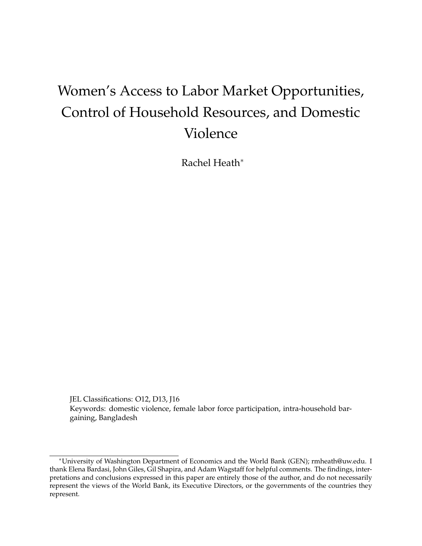## Women's Access to Labor Market Opportunities, Control of Household Resources, and Domestic Violence

Rachel Heath<sup>∗</sup>

JEL Classifications: O12, D13, J16 Keywords: domestic violence, female labor force participation, intra-household bargaining, Bangladesh

<sup>∗</sup>University of Washington Department of Economics and the World Bank (GEN); rmheath@uw.edu. I thank Elena Bardasi, John Giles, Gil Shapira, and Adam Wagstaff for helpful comments. The findings, interpretations and conclusions expressed in this paper are entirely those of the author, and do not necessarily represent the views of the World Bank, its Executive Directors, or the governments of the countries they represent.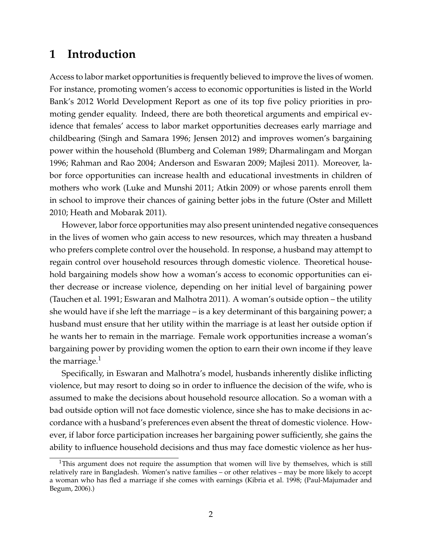## **1 Introduction**

Access to labor market opportunities is frequently believed to improve the lives of women. For instance, promoting women's access to economic opportunities is listed in the World Bank's 2012 World Development Report as one of its top five policy priorities in promoting gender equality. Indeed, there are both theoretical arguments and empirical evidence that females' access to labor market opportunities decreases early marriage and childbearing (Singh and Samara 1996; Jensen 2012) and improves women's bargaining power within the household (Blumberg and Coleman 1989; Dharmalingam and Morgan 1996; Rahman and Rao 2004; Anderson and Eswaran 2009; Majlesi 2011). Moreover, labor force opportunities can increase health and educational investments in children of mothers who work (Luke and Munshi 2011; Atkin 2009) or whose parents enroll them in school to improve their chances of gaining better jobs in the future (Oster and Millett 2010; Heath and Mobarak 2011).

However, labor force opportunities may also present unintended negative consequences in the lives of women who gain access to new resources, which may threaten a husband who prefers complete control over the household. In response, a husband may attempt to regain control over household resources through domestic violence. Theoretical household bargaining models show how a woman's access to economic opportunities can either decrease or increase violence, depending on her initial level of bargaining power (Tauchen et al. 1991; Eswaran and Malhotra 2011). A woman's outside option – the utility she would have if she left the marriage – is a key determinant of this bargaining power; a husband must ensure that her utility within the marriage is at least her outside option if he wants her to remain in the marriage. Female work opportunities increase a woman's bargaining power by providing women the option to earn their own income if they leave the marriage. $<sup>1</sup>$ </sup>

Specifically, in Eswaran and Malhotra's model, husbands inherently dislike inflicting violence, but may resort to doing so in order to influence the decision of the wife, who is assumed to make the decisions about household resource allocation. So a woman with a bad outside option will not face domestic violence, since she has to make decisions in accordance with a husband's preferences even absent the threat of domestic violence. However, if labor force participation increases her bargaining power sufficiently, she gains the ability to influence household decisions and thus may face domestic violence as her hus-

<sup>&</sup>lt;sup>1</sup>This argument does not require the assumption that women will live by themselves, which is still relatively rare in Bangladesh. Women's native families – or other relatives – may be more likely to accept a woman who has fled a marriage if she comes with earnings (Kibria et al. 1998; (Paul-Majumader and Begum, 2006).)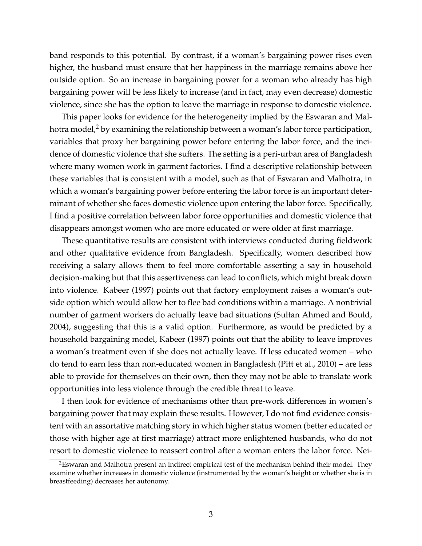band responds to this potential. By contrast, if a woman's bargaining power rises even higher, the husband must ensure that her happiness in the marriage remains above her outside option. So an increase in bargaining power for a woman who already has high bargaining power will be less likely to increase (and in fact, may even decrease) domestic violence, since she has the option to leave the marriage in response to domestic violence.

This paper looks for evidence for the heterogeneity implied by the Eswaran and Malhotra model,<sup>2</sup> by examining the relationship between a woman's labor force participation, variables that proxy her bargaining power before entering the labor force, and the incidence of domestic violence that she suffers. The setting is a peri-urban area of Bangladesh where many women work in garment factories. I find a descriptive relationship between these variables that is consistent with a model, such as that of Eswaran and Malhotra, in which a woman's bargaining power before entering the labor force is an important determinant of whether she faces domestic violence upon entering the labor force. Specifically, I find a positive correlation between labor force opportunities and domestic violence that disappears amongst women who are more educated or were older at first marriage.

These quantitative results are consistent with interviews conducted during fieldwork and other qualitative evidence from Bangladesh. Specifically, women described how receiving a salary allows them to feel more comfortable asserting a say in household decision-making but that this assertiveness can lead to conflicts, which might break down into violence. Kabeer (1997) points out that factory employment raises a woman's outside option which would allow her to flee bad conditions within a marriage. A nontrivial number of garment workers do actually leave bad situations (Sultan Ahmed and Bould, 2004), suggesting that this is a valid option. Furthermore, as would be predicted by a household bargaining model, Kabeer (1997) points out that the ability to leave improves a woman's treatment even if she does not actually leave. If less educated women – who do tend to earn less than non-educated women in Bangladesh (Pitt et al., 2010) – are less able to provide for themselves on their own, then they may not be able to translate work opportunities into less violence through the credible threat to leave.

I then look for evidence of mechanisms other than pre-work differences in women's bargaining power that may explain these results. However, I do not find evidence consistent with an assortative matching story in which higher status women (better educated or those with higher age at first marriage) attract more enlightened husbands, who do not resort to domestic violence to reassert control after a woman enters the labor force. Nei-

<sup>&</sup>lt;sup>2</sup>Eswaran and Malhotra present an indirect empirical test of the mechanism behind their model. They examine whether increases in domestic violence (instrumented by the woman's height or whether she is in breastfeeding) decreases her autonomy.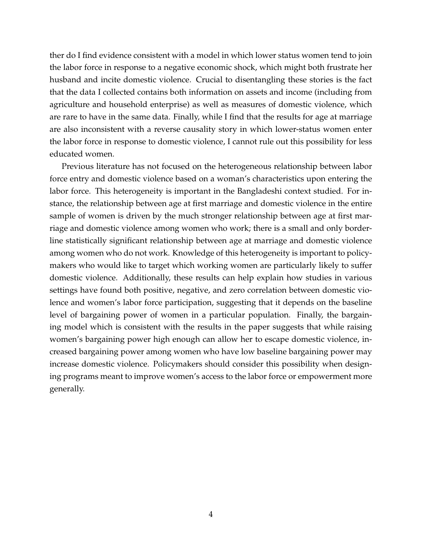ther do I find evidence consistent with a model in which lower status women tend to join the labor force in response to a negative economic shock, which might both frustrate her husband and incite domestic violence. Crucial to disentangling these stories is the fact that the data I collected contains both information on assets and income (including from agriculture and household enterprise) as well as measures of domestic violence, which are rare to have in the same data. Finally, while I find that the results for age at marriage are also inconsistent with a reverse causality story in which lower-status women enter the labor force in response to domestic violence, I cannot rule out this possibility for less educated women.

Previous literature has not focused on the heterogeneous relationship between labor force entry and domestic violence based on a woman's characteristics upon entering the labor force. This heterogeneity is important in the Bangladeshi context studied. For instance, the relationship between age at first marriage and domestic violence in the entire sample of women is driven by the much stronger relationship between age at first marriage and domestic violence among women who work; there is a small and only borderline statistically significant relationship between age at marriage and domestic violence among women who do not work. Knowledge of this heterogeneity is important to policymakers who would like to target which working women are particularly likely to suffer domestic violence. Additionally, these results can help explain how studies in various settings have found both positive, negative, and zero correlation between domestic violence and women's labor force participation, suggesting that it depends on the baseline level of bargaining power of women in a particular population. Finally, the bargaining model which is consistent with the results in the paper suggests that while raising women's bargaining power high enough can allow her to escape domestic violence, increased bargaining power among women who have low baseline bargaining power may increase domestic violence. Policymakers should consider this possibility when designing programs meant to improve women's access to the labor force or empowerment more generally.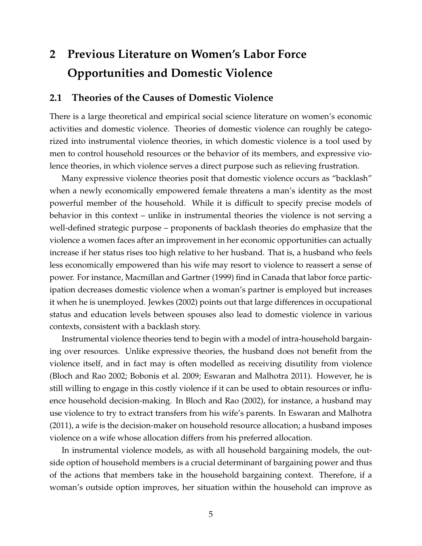## **2 Previous Literature on Women's Labor Force Opportunities and Domestic Violence**

#### **2.1 Theories of the Causes of Domestic Violence**

There is a large theoretical and empirical social science literature on women's economic activities and domestic violence. Theories of domestic violence can roughly be categorized into instrumental violence theories, in which domestic violence is a tool used by men to control household resources or the behavior of its members, and expressive violence theories, in which violence serves a direct purpose such as relieving frustration.

Many expressive violence theories posit that domestic violence occurs as "backlash" when a newly economically empowered female threatens a man's identity as the most powerful member of the household. While it is difficult to specify precise models of behavior in this context – unlike in instrumental theories the violence is not serving a well-defined strategic purpose – proponents of backlash theories do emphasize that the violence a women faces after an improvement in her economic opportunities can actually increase if her status rises too high relative to her husband. That is, a husband who feels less economically empowered than his wife may resort to violence to reassert a sense of power. For instance, Macmillan and Gartner (1999) find in Canada that labor force participation decreases domestic violence when a woman's partner is employed but increases it when he is unemployed. Jewkes (2002) points out that large differences in occupational status and education levels between spouses also lead to domestic violence in various contexts, consistent with a backlash story.

Instrumental violence theories tend to begin with a model of intra-household bargaining over resources. Unlike expressive theories, the husband does not benefit from the violence itself, and in fact may is often modelled as receiving disutility from violence (Bloch and Rao 2002; Bobonis et al. 2009; Eswaran and Malhotra 2011). However, he is still willing to engage in this costly violence if it can be used to obtain resources or influence household decision-making. In Bloch and Rao (2002), for instance, a husband may use violence to try to extract transfers from his wife's parents. In Eswaran and Malhotra (2011), a wife is the decision-maker on household resource allocation; a husband imposes violence on a wife whose allocation differs from his preferred allocation.

In instrumental violence models, as with all household bargaining models, the outside option of household members is a crucial determinant of bargaining power and thus of the actions that members take in the household bargaining context. Therefore, if a woman's outside option improves, her situation within the household can improve as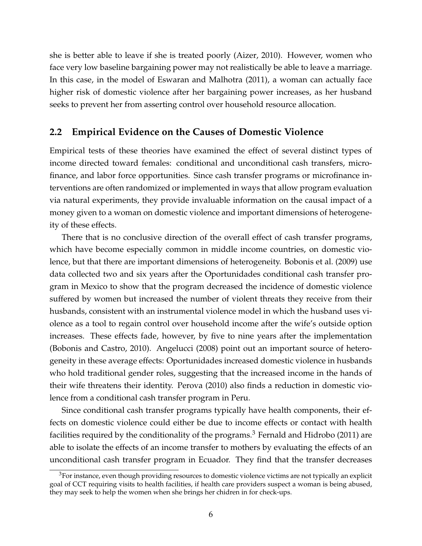she is better able to leave if she is treated poorly (Aizer, 2010). However, women who face very low baseline bargaining power may not realistically be able to leave a marriage. In this case, in the model of Eswaran and Malhotra (2011), a woman can actually face higher risk of domestic violence after her bargaining power increases, as her husband seeks to prevent her from asserting control over household resource allocation.

#### **2.2 Empirical Evidence on the Causes of Domestic Violence**

Empirical tests of these theories have examined the effect of several distinct types of income directed toward females: conditional and unconditional cash transfers, microfinance, and labor force opportunities. Since cash transfer programs or microfinance interventions are often randomized or implemented in ways that allow program evaluation via natural experiments, they provide invaluable information on the causal impact of a money given to a woman on domestic violence and important dimensions of heterogeneity of these effects.

There that is no conclusive direction of the overall effect of cash transfer programs, which have become especially common in middle income countries, on domestic violence, but that there are important dimensions of heterogeneity. Bobonis et al. (2009) use data collected two and six years after the Oportunidades conditional cash transfer program in Mexico to show that the program decreased the incidence of domestic violence suffered by women but increased the number of violent threats they receive from their husbands, consistent with an instrumental violence model in which the husband uses violence as a tool to regain control over household income after the wife's outside option increases. These effects fade, however, by five to nine years after the implementation (Bobonis and Castro, 2010). Angelucci (2008) point out an important source of heterogeneity in these average effects: Oportunidades increased domestic violence in husbands who hold traditional gender roles, suggesting that the increased income in the hands of their wife threatens their identity. Perova (2010) also finds a reduction in domestic violence from a conditional cash transfer program in Peru.

Since conditional cash transfer programs typically have health components, their effects on domestic violence could either be due to income effects or contact with health facilities required by the conditionality of the programs.<sup>3</sup> Fernald and Hidrobo (2011) are able to isolate the effects of an income transfer to mothers by evaluating the effects of an unconditional cash transfer program in Ecuador. They find that the transfer decreases

<sup>&</sup>lt;sup>3</sup>For instance, even though providing resources to domestic violence victims are not typically an explicit goal of CCT requiring visits to health facilities, if health care providers suspect a woman is being abused, they may seek to help the women when she brings her chidren in for check-ups.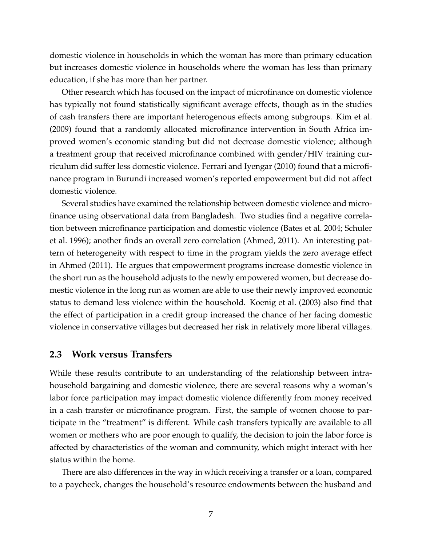domestic violence in households in which the woman has more than primary education but increases domestic violence in households where the woman has less than primary education, if she has more than her partner.

Other research which has focused on the impact of microfinance on domestic violence has typically not found statistically significant average effects, though as in the studies of cash transfers there are important heterogenous effects among subgroups. Kim et al. (2009) found that a randomly allocated microfinance intervention in South Africa improved women's economic standing but did not decrease domestic violence; although a treatment group that received microfinance combined with gender/HIV training curriculum did suffer less domestic violence. Ferrari and Iyengar (2010) found that a microfinance program in Burundi increased women's reported empowerment but did not affect domestic violence.

Several studies have examined the relationship between domestic violence and microfinance using observational data from Bangladesh. Two studies find a negative correlation between microfinance participation and domestic violence (Bates et al. 2004; Schuler et al. 1996); another finds an overall zero correlation (Ahmed, 2011). An interesting pattern of heterogeneity with respect to time in the program yields the zero average effect in Ahmed (2011). He argues that empowerment programs increase domestic violence in the short run as the household adjusts to the newly empowered women, but decrease domestic violence in the long run as women are able to use their newly improved economic status to demand less violence within the household. Koenig et al. (2003) also find that the effect of participation in a credit group increased the chance of her facing domestic violence in conservative villages but decreased her risk in relatively more liberal villages.

#### **2.3 Work versus Transfers**

While these results contribute to an understanding of the relationship between intrahousehold bargaining and domestic violence, there are several reasons why a woman's labor force participation may impact domestic violence differently from money received in a cash transfer or microfinance program. First, the sample of women choose to participate in the "treatment" is different. While cash transfers typically are available to all women or mothers who are poor enough to qualify, the decision to join the labor force is affected by characteristics of the woman and community, which might interact with her status within the home.

There are also differences in the way in which receiving a transfer or a loan, compared to a paycheck, changes the household's resource endowments between the husband and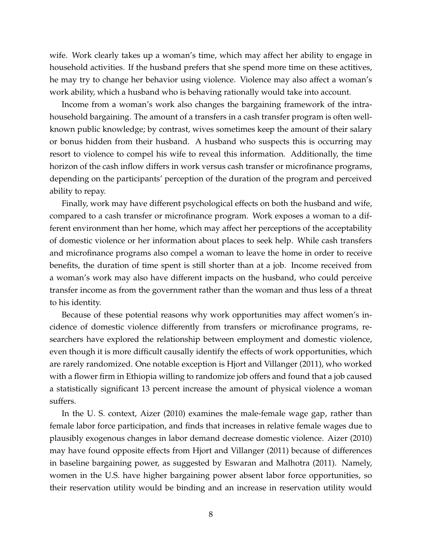wife. Work clearly takes up a woman's time, which may affect her ability to engage in household activities. If the husband prefers that she spend more time on these actitives, he may try to change her behavior using violence. Violence may also affect a woman's work ability, which a husband who is behaving rationally would take into account.

Income from a woman's work also changes the bargaining framework of the intrahousehold bargaining. The amount of a transfers in a cash transfer program is often wellknown public knowledge; by contrast, wives sometimes keep the amount of their salary or bonus hidden from their husband. A husband who suspects this is occurring may resort to violence to compel his wife to reveal this information. Additionally, the time horizon of the cash inflow differs in work versus cash transfer or microfinance programs, depending on the participants' perception of the duration of the program and perceived ability to repay.

Finally, work may have different psychological effects on both the husband and wife, compared to a cash transfer or microfinance program. Work exposes a woman to a different environment than her home, which may affect her perceptions of the acceptability of domestic violence or her information about places to seek help. While cash transfers and microfinance programs also compel a woman to leave the home in order to receive benefits, the duration of time spent is still shorter than at a job. Income received from a woman's work may also have different impacts on the husband, who could perceive transfer income as from the government rather than the woman and thus less of a threat to his identity.

Because of these potential reasons why work opportunities may affect women's incidence of domestic violence differently from transfers or microfinance programs, researchers have explored the relationship between employment and domestic violence, even though it is more difficult causally identify the effects of work opportunities, which are rarely randomized. One notable exception is Hjort and Villanger (2011), who worked with a flower firm in Ethiopia willing to randomize job offers and found that a job caused a statistically significant 13 percent increase the amount of physical violence a woman suffers.

In the U. S. context, Aizer (2010) examines the male-female wage gap, rather than female labor force participation, and finds that increases in relative female wages due to plausibly exogenous changes in labor demand decrease domestic violence. Aizer (2010) may have found opposite effects from Hjort and Villanger (2011) because of differences in baseline bargaining power, as suggested by Eswaran and Malhotra (2011). Namely, women in the U.S. have higher bargaining power absent labor force opportunities, so their reservation utility would be binding and an increase in reservation utility would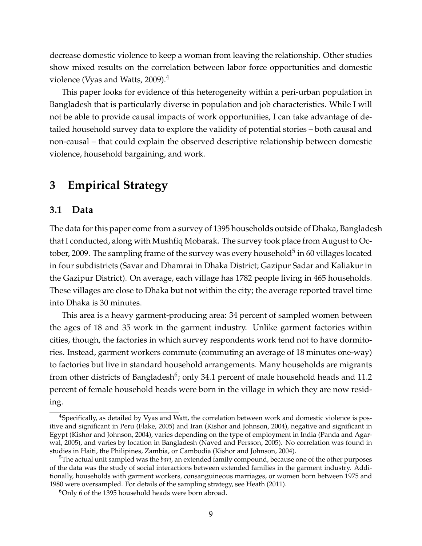decrease domestic violence to keep a woman from leaving the relationship. Other studies show mixed results on the correlation between labor force opportunities and domestic violence (Vyas and Watts, 2009).<sup>4</sup>

This paper looks for evidence of this heterogeneity within a peri-urban population in Bangladesh that is particularly diverse in population and job characteristics. While I will not be able to provide causal impacts of work opportunities, I can take advantage of detailed household survey data to explore the validity of potential stories – both causal and non-causal – that could explain the observed descriptive relationship between domestic violence, household bargaining, and work.

## **3 Empirical Strategy**

#### **3.1 Data**

The data for this paper come from a survey of 1395 households outside of Dhaka, Bangladesh that I conducted, along with Mushfiq Mobarak. The survey took place from August to October, 2009. The sampling frame of the survey was every household $^5$  in 60 villages located in four subdistricts (Savar and Dhamrai in Dhaka District; Gazipur Sadar and Kaliakur in the Gazipur District). On average, each village has 1782 people living in 465 households. These villages are close to Dhaka but not within the city; the average reported travel time into Dhaka is 30 minutes.

This area is a heavy garment-producing area: 34 percent of sampled women between the ages of 18 and 35 work in the garment industry. Unlike garment factories within cities, though, the factories in which survey respondents work tend not to have dormitories. Instead, garment workers commute (commuting an average of 18 minutes one-way) to factories but live in standard household arrangements. Many households are migrants from other districts of Bangladesh<sup>6</sup>; only 34.1 percent of male household heads and 11.2 percent of female household heads were born in the village in which they are now residing.

<sup>4</sup>Specifically, as detailed by Vyas and Watt, the correlation between work and domestic violence is positive and significant in Peru (Flake, 2005) and Iran (Kishor and Johnson, 2004), negative and significant in Egypt (Kishor and Johnson, 2004), varies depending on the type of employment in India (Panda and Agarwal, 2005), and varies by location in Bangladesh (Naved and Persson, 2005). No correlation was found in studies in Haiti, the Philipines, Zambia, or Cambodia (Kishor and Johnson, 2004).

<sup>5</sup>The actual unit sampled was the *bari*, an extended family compound, because one of the other purposes of the data was the study of social interactions between extended families in the garment industry. Additionally, households with garment workers, consanguineous marriages, or women born between 1975 and 1980 were oversampled. For details of the sampling strategy, see Heath (2011).

<sup>&</sup>lt;sup>6</sup>Only 6 of the 1395 household heads were born abroad.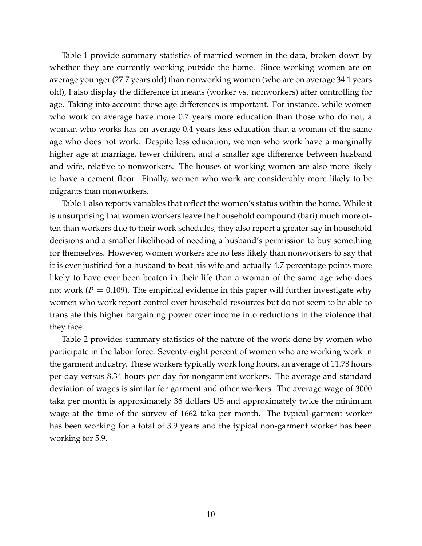Table 1 provide summary statistics of married women in the data, broken down by whether they are currently working outside the home. Since working women are on average younger (27.7 years old) than nonworking women (who are on average 34.1 years old), I also display the difference in means (worker vs. nonworkers) after controlling for age. Taking into account these age differences is important. For instance, while women who work on average have more 0.7 years more education than those who do not, a woman who works has on average 0.4 years less education than a woman of the same age who does not work. Despite less education, women who work have a marginally higher age at marriage, fewer children, and a smaller age difference between husband and wife, relative to nonworkers. The houses of working women are also more likely to have a cement floor. Finally, women who work are considerably more likely to be migrants than nonworkers.

Table 1 also reports variables that reflect the women's status within the home. While it is unsurprising that women workers leave the household compound (bari) much more often than workers due to their work schedules, they also report a greater say in household decisions and a smaller likelihood of needing a husband's permission to buy something for themselves. However, women workers are no less likely than nonworkers to say that it is ever justified for a husband to beat his wife and actually 4.7 percentage points more likely to have ever been beaten in their life than a woman of the same age who does not work ( $P = 0.109$ ). The empirical evidence in this paper will further investigate why women who work report control over household resources but do not seem to be able to translate this higher bargaining power over income into reductions in the violence that they face.

Table 2 provides summary statistics of the nature of the work done by women who participate in the labor force. Seventy-eight percent of women who are working work in the garment industry. These workers typically work long hours, an average of 11.78 hours per day versus 8.34 hours per day for nongarment workers. The average and standard deviation of wages is similar for garment and other workers. The average wage of 3000 taka per month is approximately 36 dollars US and approximately twice the minimum wage at the time of the survey of 1662 taka per month. The typical garment worker has been working for a total of 3.9 years and the typical non-garment worker has been working for 5.9.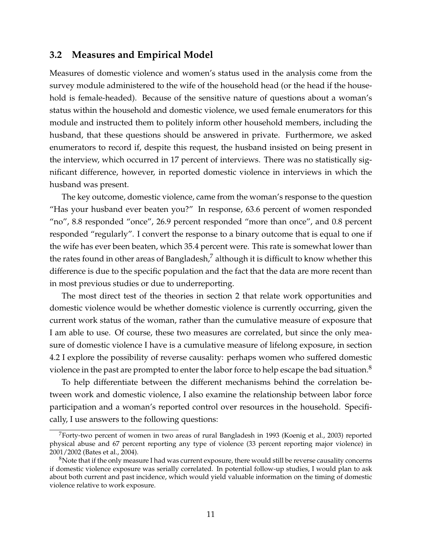#### **3.2 Measures and Empirical Model**

Measures of domestic violence and women's status used in the analysis come from the survey module administered to the wife of the household head (or the head if the household is female-headed). Because of the sensitive nature of questions about a woman's status within the household and domestic violence, we used female enumerators for this module and instructed them to politely inform other household members, including the husband, that these questions should be answered in private. Furthermore, we asked enumerators to record if, despite this request, the husband insisted on being present in the interview, which occurred in 17 percent of interviews. There was no statistically significant difference, however, in reported domestic violence in interviews in which the husband was present.

The key outcome, domestic violence, came from the woman's response to the question "Has your husband ever beaten you?" In response, 63.6 percent of women responded "no", 8.8 responded "once", 26.9 percent responded "more than once", and 0.8 percent responded "regularly". I convert the response to a binary outcome that is equal to one if the wife has ever been beaten, which 35.4 percent were. This rate is somewhat lower than the rates found in other areas of Bangladesh,<sup>7</sup> although it is difficult to know whether this difference is due to the specific population and the fact that the data are more recent than in most previous studies or due to underreporting.

The most direct test of the theories in section 2 that relate work opportunities and domestic violence would be whether domestic violence is currently occurring, given the current work status of the woman, rather than the cumulative measure of exposure that I am able to use. Of course, these two measures are correlated, but since the only measure of domestic violence I have is a cumulative measure of lifelong exposure, in section 4.2 I explore the possibility of reverse causality: perhaps women who suffered domestic violence in the past are prompted to enter the labor force to help escape the bad situation.<sup>8</sup>

To help differentiate between the different mechanisms behind the correlation between work and domestic violence, I also examine the relationship between labor force participation and a woman's reported control over resources in the household. Specifically, I use answers to the following questions:

<sup>&</sup>lt;sup>7</sup>Forty-two percent of women in two areas of rural Bangladesh in 1993 (Koenig et al., 2003) reported physical abuse and 67 percent reporting any type of violence (33 percent reporting major violence) in 2001/2002 (Bates et al., 2004).

<sup>&</sup>lt;sup>8</sup>Note that if the only measure I had was current exposure, there would still be reverse causality concerns if domestic violence exposure was serially correlated. In potential follow-up studies, I would plan to ask about both current and past incidence, which would yield valuable information on the timing of domestic violence relative to work exposure.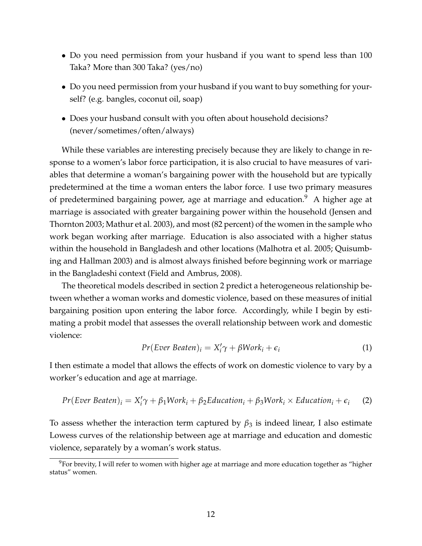- Do you need permission from your husband if you want to spend less than 100 Taka? More than 300 Taka? (yes/no)
- Do you need permission from your husband if you want to buy something for yourself? (e.g. bangles, coconut oil, soap)
- Does your husband consult with you often about household decisions? (never/sometimes/often/always)

While these variables are interesting precisely because they are likely to change in response to a women's labor force participation, it is also crucial to have measures of variables that determine a woman's bargaining power with the household but are typically predetermined at the time a woman enters the labor force. I use two primary measures of predetermined bargaining power, age at marriage and education.<sup>9</sup> A higher age at marriage is associated with greater bargaining power within the household (Jensen and Thornton 2003; Mathur et al. 2003), and most (82 percent) of the women in the sample who work began working after marriage. Education is also associated with a higher status within the household in Bangladesh and other locations (Malhotra et al. 2005; Quisumbing and Hallman 2003) and is almost always finished before beginning work or marriage in the Bangladeshi context (Field and Ambrus, 2008).

The theoretical models described in section 2 predict a heterogeneous relationship between whether a woman works and domestic violence, based on these measures of initial bargaining position upon entering the labor force. Accordingly, while I begin by estimating a probit model that assesses the overall relationship between work and domestic violence:

$$
Pr(Ever Beaten)i = X'i \gamma + \beta Worki + \epsiloni
$$
 (1)

I then estimate a model that allows the effects of work on domestic violence to vary by a worker's education and age at marriage.

$$
Pr(Ever Beaten)i = X'i \gamma + \beta_1 Work_i + \beta_2 Education_i + \beta_3 Work_i \times Education_i + \epsilon_i
$$
 (2)

To assess whether the interaction term captured by  $\beta_3$  is indeed linear, I also estimate Lowess curves of the relationship between age at marriage and education and domestic violence, separately by a woman's work status.

 $9$ For brevity, I will refer to women with higher age at marriage and more education together as "higher status" women.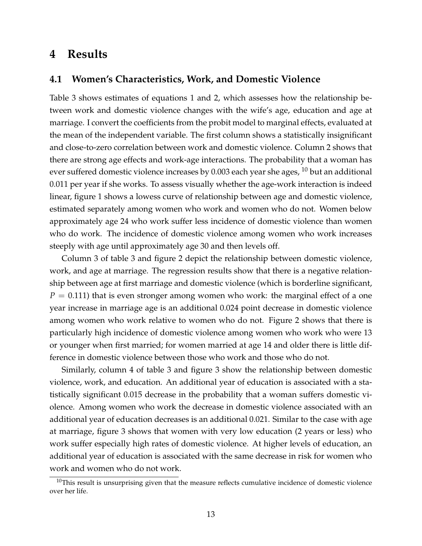### **4 Results**

#### **4.1 Women's Characteristics, Work, and Domestic Violence**

Table 3 shows estimates of equations 1 and 2, which assesses how the relationship between work and domestic violence changes with the wife's age, education and age at marriage. I convert the coefficients from the probit model to marginal effects, evaluated at the mean of the independent variable. The first column shows a statistically insignificant and close-to-zero correlation between work and domestic violence. Column 2 shows that there are strong age effects and work-age interactions. The probability that a woman has ever suffered domestic violence increases by  $0.003$  each year she ages,  $^{10}$  but an additional 0.011 per year if she works. To assess visually whether the age-work interaction is indeed linear, figure 1 shows a lowess curve of relationship between age and domestic violence, estimated separately among women who work and women who do not. Women below approximately age 24 who work suffer less incidence of domestic violence than women who do work. The incidence of domestic violence among women who work increases steeply with age until approximately age 30 and then levels off.

Column 3 of table 3 and figure 2 depict the relationship between domestic violence, work, and age at marriage. The regression results show that there is a negative relationship between age at first marriage and domestic violence (which is borderline significant,  $P = 0.111$ ) that is even stronger among women who work: the marginal effect of a one year increase in marriage age is an additional 0.024 point decrease in domestic violence among women who work relative to women who do not. Figure 2 shows that there is particularly high incidence of domestic violence among women who work who were 13 or younger when first married; for women married at age 14 and older there is little difference in domestic violence between those who work and those who do not.

Similarly, column 4 of table 3 and figure 3 show the relationship between domestic violence, work, and education. An additional year of education is associated with a statistically significant 0.015 decrease in the probability that a woman suffers domestic violence. Among women who work the decrease in domestic violence associated with an additional year of education decreases is an additional 0.021. Similar to the case with age at marriage, figure 3 shows that women with very low education (2 years or less) who work suffer especially high rates of domestic violence. At higher levels of education, an additional year of education is associated with the same decrease in risk for women who work and women who do not work.

 $10$ This result is unsurprising given that the measure reflects cumulative incidence of domestic violence over her life.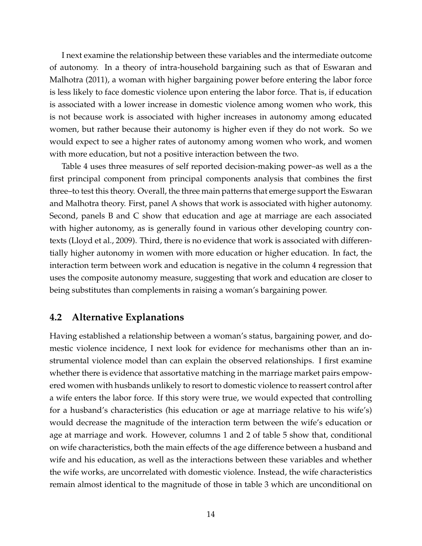I next examine the relationship between these variables and the intermediate outcome of autonomy. In a theory of intra-household bargaining such as that of Eswaran and Malhotra (2011), a woman with higher bargaining power before entering the labor force is less likely to face domestic violence upon entering the labor force. That is, if education is associated with a lower increase in domestic violence among women who work, this is not because work is associated with higher increases in autonomy among educated women, but rather because their autonomy is higher even if they do not work. So we would expect to see a higher rates of autonomy among women who work, and women with more education, but not a positive interaction between the two.

Table 4 uses three measures of self reported decision-making power–as well as a the first principal component from principal components analysis that combines the first three–to test this theory. Overall, the three main patterns that emerge support the Eswaran and Malhotra theory. First, panel A shows that work is associated with higher autonomy. Second, panels B and C show that education and age at marriage are each associated with higher autonomy, as is generally found in various other developing country contexts (Lloyd et al., 2009). Third, there is no evidence that work is associated with differentially higher autonomy in women with more education or higher education. In fact, the interaction term between work and education is negative in the column 4 regression that uses the composite autonomy measure, suggesting that work and education are closer to being substitutes than complements in raising a woman's bargaining power.

#### **4.2 Alternative Explanations**

Having established a relationship between a woman's status, bargaining power, and domestic violence incidence, I next look for evidence for mechanisms other than an instrumental violence model than can explain the observed relationships. I first examine whether there is evidence that assortative matching in the marriage market pairs empowered women with husbands unlikely to resort to domestic violence to reassert control after a wife enters the labor force. If this story were true, we would expected that controlling for a husband's characteristics (his education or age at marriage relative to his wife's) would decrease the magnitude of the interaction term between the wife's education or age at marriage and work. However, columns 1 and 2 of table 5 show that, conditional on wife characteristics, both the main effects of the age difference between a husband and wife and his education, as well as the interactions between these variables and whether the wife works, are uncorrelated with domestic violence. Instead, the wife characteristics remain almost identical to the magnitude of those in table 3 which are unconditional on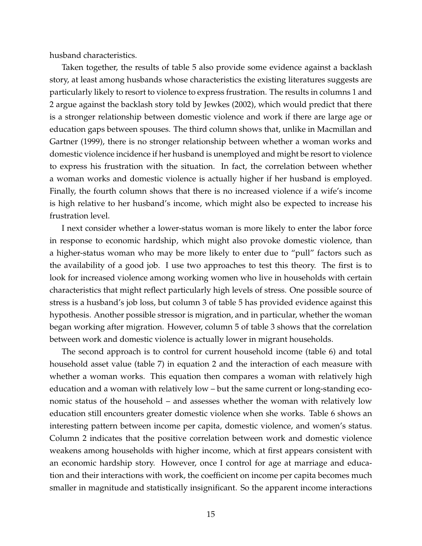husband characteristics.

Taken together, the results of table 5 also provide some evidence against a backlash story, at least among husbands whose characteristics the existing literatures suggests are particularly likely to resort to violence to express frustration. The results in columns 1 and 2 argue against the backlash story told by Jewkes (2002), which would predict that there is a stronger relationship between domestic violence and work if there are large age or education gaps between spouses. The third column shows that, unlike in Macmillan and Gartner (1999), there is no stronger relationship between whether a woman works and domestic violence incidence if her husband is unemployed and might be resort to violence to express his frustration with the situation. In fact, the correlation between whether a woman works and domestic violence is actually higher if her husband is employed. Finally, the fourth column shows that there is no increased violence if a wife's income is high relative to her husband's income, which might also be expected to increase his frustration level.

I next consider whether a lower-status woman is more likely to enter the labor force in response to economic hardship, which might also provoke domestic violence, than a higher-status woman who may be more likely to enter due to "pull" factors such as the availability of a good job. I use two approaches to test this theory. The first is to look for increased violence among working women who live in households with certain characteristics that might reflect particularly high levels of stress. One possible source of stress is a husband's job loss, but column 3 of table 5 has provided evidence against this hypothesis. Another possible stressor is migration, and in particular, whether the woman began working after migration. However, column 5 of table 3 shows that the correlation between work and domestic violence is actually lower in migrant households.

The second approach is to control for current household income (table 6) and total household asset value (table 7) in equation 2 and the interaction of each measure with whether a woman works. This equation then compares a woman with relatively high education and a woman with relatively low – but the same current or long-standing economic status of the household – and assesses whether the woman with relatively low education still encounters greater domestic violence when she works. Table 6 shows an interesting pattern between income per capita, domestic violence, and women's status. Column 2 indicates that the positive correlation between work and domestic violence weakens among households with higher income, which at first appears consistent with an economic hardship story. However, once I control for age at marriage and education and their interactions with work, the coefficient on income per capita becomes much smaller in magnitude and statistically insignificant. So the apparent income interactions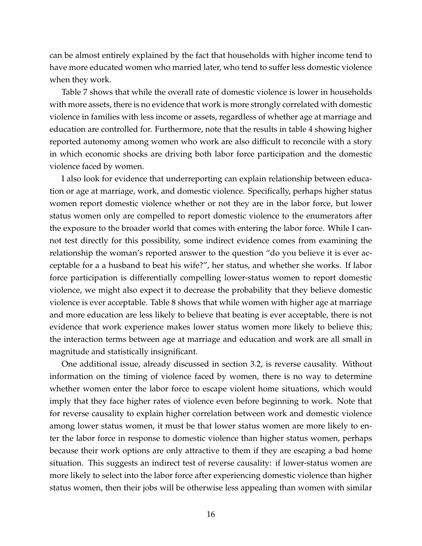can be almost entirely explained by the fact that households with higher income tend to have more educated women who married later, who tend to suffer less domestic violence when they work.

Table 7 shows that while the overall rate of domestic violence is lower in households with more assets, there is no evidence that work is more strongly correlated with domestic violence in families with less income or assets, regardless of whether age at marriage and education are controlled for. Furthermore, note that the results in table 4 showing higher reported autonomy among women who work are also difficult to reconcile with a story in which economic shocks are driving both labor force participation and the domestic violence faced by women.

I also look for evidence that underreporting can explain relationship between education or age at marriage, work, and domestic violence. Specifically, perhaps higher status women report domestic violence whether or not they are in the labor force, but lower status women only are compelled to report domestic violence to the enumerators after the exposure to the broader world that comes with entering the labor force. While I cannot test directly for this possibility, some indirect evidence comes from examining the relationship the woman's reported answer to the question "do you believe it is ever acceptable for a a husband to beat his wife?", her status, and whether she works. If labor force participation is differentially compelling lower-status women to report domestic violence, we might also expect it to decrease the probability that they believe domestic violence is ever acceptable. Table 8 shows that while women with higher age at marriage and more education are less likely to believe that beating is ever acceptable, there is not evidence that work experience makes lower status women more likely to believe this; the interaction terms between age at marriage and education and work are all small in magnitude and statistically insignificant.

One additional issue, already discussed in section 3.2, is reverse causality. Without information on the timing of violence faced by women, there is no way to determine whether women enter the labor force to escape violent home situations, which would imply that they face higher rates of violence even before beginning to work. Note that for reverse causality to explain higher correlation between work and domestic violence among lower status women, it must be that lower status women are more likely to enter the labor force in response to domestic violence than higher status women, perhaps because their work options are only attractive to them if they are escaping a bad home situation. This suggests an indirect test of reverse causality: if lower-status women are more likely to select into the labor force after experiencing domestic violence than higher status women, then their jobs will be otherwise less appealing than women with similar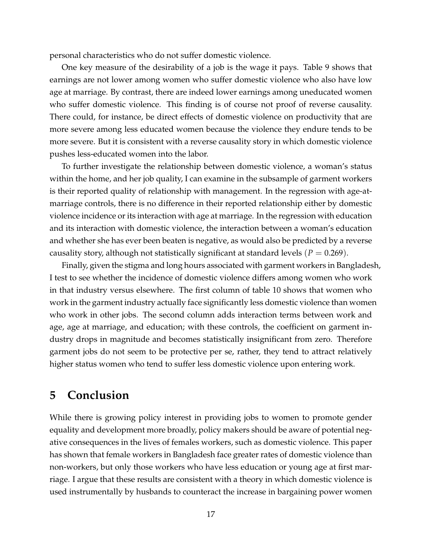personal characteristics who do not suffer domestic violence.

One key measure of the desirability of a job is the wage it pays. Table 9 shows that earnings are not lower among women who suffer domestic violence who also have low age at marriage. By contrast, there are indeed lower earnings among uneducated women who suffer domestic violence. This finding is of course not proof of reverse causality. There could, for instance, be direct effects of domestic violence on productivity that are more severe among less educated women because the violence they endure tends to be more severe. But it is consistent with a reverse causality story in which domestic violence pushes less-educated women into the labor.

To further investigate the relationship between domestic violence, a woman's status within the home, and her job quality, I can examine in the subsample of garment workers is their reported quality of relationship with management. In the regression with age-atmarriage controls, there is no difference in their reported relationship either by domestic violence incidence or its interaction with age at marriage. In the regression with education and its interaction with domestic violence, the interaction between a woman's education and whether she has ever been beaten is negative, as would also be predicted by a reverse causality story, although not statistically significant at standard levels  $(P = 0.269)$ .

Finally, given the stigma and long hours associated with garment workers in Bangladesh, I test to see whether the incidence of domestic violence differs among women who work in that industry versus elsewhere. The first column of table 10 shows that women who work in the garment industry actually face significantly less domestic violence than women who work in other jobs. The second column adds interaction terms between work and age, age at marriage, and education; with these controls, the coefficient on garment industry drops in magnitude and becomes statistically insignificant from zero. Therefore garment jobs do not seem to be protective per se, rather, they tend to attract relatively higher status women who tend to suffer less domestic violence upon entering work.

### **5 Conclusion**

While there is growing policy interest in providing jobs to women to promote gender equality and development more broadly, policy makers should be aware of potential negative consequences in the lives of females workers, such as domestic violence. This paper has shown that female workers in Bangladesh face greater rates of domestic violence than non-workers, but only those workers who have less education or young age at first marriage. I argue that these results are consistent with a theory in which domestic violence is used instrumentally by husbands to counteract the increase in bargaining power women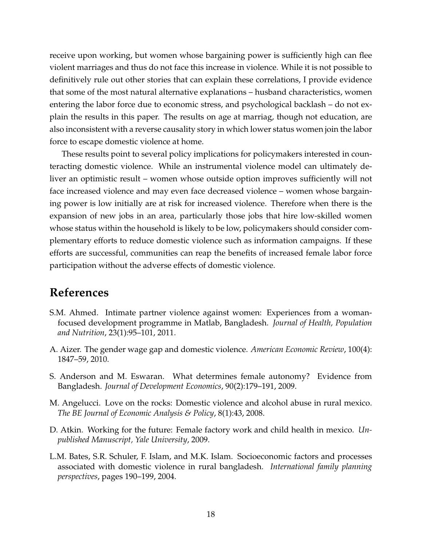receive upon working, but women whose bargaining power is sufficiently high can flee violent marriages and thus do not face this increase in violence. While it is not possible to definitively rule out other stories that can explain these correlations, I provide evidence that some of the most natural alternative explanations – husband characteristics, women entering the labor force due to economic stress, and psychological backlash – do not explain the results in this paper. The results on age at marriag, though not education, are also inconsistent with a reverse causality story in which lower status women join the labor force to escape domestic violence at home.

These results point to several policy implications for policymakers interested in counteracting domestic violence. While an instrumental violence model can ultimately deliver an optimistic result – women whose outside option improves sufficiently will not face increased violence and may even face decreased violence – women whose bargaining power is low initially are at risk for increased violence. Therefore when there is the expansion of new jobs in an area, particularly those jobs that hire low-skilled women whose status within the household is likely to be low, policymakers should consider complementary efforts to reduce domestic violence such as information campaigns. If these efforts are successful, communities can reap the benefits of increased female labor force participation without the adverse effects of domestic violence.

## **References**

- S.M. Ahmed. Intimate partner violence against women: Experiences from a womanfocused development programme in Matlab, Bangladesh. *Journal of Health, Population and Nutrition*, 23(1):95–101, 2011.
- A. Aizer. The gender wage gap and domestic violence. *American Economic Review*, 100(4): 1847–59, 2010.
- S. Anderson and M. Eswaran. What determines female autonomy? Evidence from Bangladesh. *Journal of Development Economics*, 90(2):179–191, 2009.
- M. Angelucci. Love on the rocks: Domestic violence and alcohol abuse in rural mexico. *The BE Journal of Economic Analysis & Policy*, 8(1):43, 2008.
- D. Atkin. Working for the future: Female factory work and child health in mexico. *Unpublished Manuscript, Yale University*, 2009.
- L.M. Bates, S.R. Schuler, F. Islam, and M.K. Islam. Socioeconomic factors and processes associated with domestic violence in rural bangladesh. *International family planning perspectives*, pages 190–199, 2004.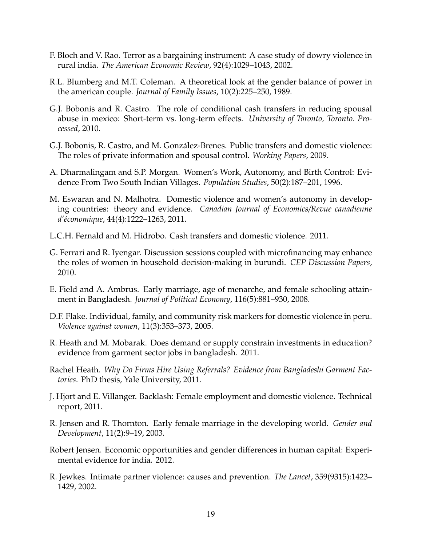- F. Bloch and V. Rao. Terror as a bargaining instrument: A case study of dowry violence in rural india. *The American Economic Review*, 92(4):1029–1043, 2002.
- R.L. Blumberg and M.T. Coleman. A theoretical look at the gender balance of power in the american couple. *Journal of Family Issues*, 10(2):225–250, 1989.
- G.J. Bobonis and R. Castro. The role of conditional cash transfers in reducing spousal abuse in mexico: Short-term vs. long-term effects. *University of Toronto, Toronto. Processed*, 2010.
- G.J. Bobonis, R. Castro, and M. Gonzalez-Brenes. Public transfers and domestic violence: ´ The roles of private information and spousal control. *Working Papers*, 2009.
- A. Dharmalingam and S.P. Morgan. Women's Work, Autonomy, and Birth Control: Evidence From Two South Indian Villages. *Population Studies*, 50(2):187–201, 1996.
- M. Eswaran and N. Malhotra. Domestic violence and women's autonomy in developing countries: theory and evidence. *Canadian Journal of Economics/Revue canadienne d'´economique*, 44(4):1222–1263, 2011.
- L.C.H. Fernald and M. Hidrobo. Cash transfers and domestic violence. 2011.
- G. Ferrari and R. Iyengar. Discussion sessions coupled with microfinancing may enhance the roles of women in household decision-making in burundi. *CEP Discussion Papers*, 2010.
- E. Field and A. Ambrus. Early marriage, age of menarche, and female schooling attainment in Bangladesh. *Journal of Political Economy*, 116(5):881–930, 2008.
- D.F. Flake. Individual, family, and community risk markers for domestic violence in peru. *Violence against women*, 11(3):353–373, 2005.
- R. Heath and M. Mobarak. Does demand or supply constrain investments in education? evidence from garment sector jobs in bangladesh. 2011.
- Rachel Heath. *Why Do Firms Hire Using Referrals? Evidence from Bangladeshi Garment Factories*. PhD thesis, Yale University, 2011.
- J. Hjort and E. Villanger. Backlash: Female employment and domestic violence. Technical report, 2011.
- R. Jensen and R. Thornton. Early female marriage in the developing world. *Gender and Development*, 11(2):9–19, 2003.
- Robert Jensen. Economic opportunities and gender differences in human capital: Experimental evidence for india. 2012.
- R. Jewkes. Intimate partner violence: causes and prevention. *The Lancet*, 359(9315):1423– 1429, 2002.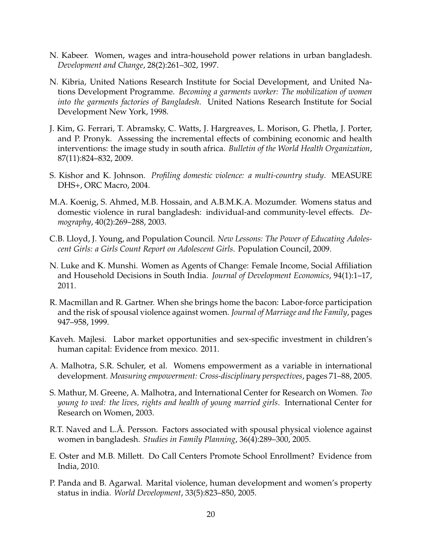- N. Kabeer. Women, wages and intra-household power relations in urban bangladesh. *Development and Change*, 28(2):261–302, 1997.
- N. Kibria, United Nations Research Institute for Social Development, and United Nations Development Programme. *Becoming a garments worker: The mobilization of women into the garments factories of Bangladesh*. United Nations Research Institute for Social Development New York, 1998.
- J. Kim, G. Ferrari, T. Abramsky, C. Watts, J. Hargreaves, L. Morison, G. Phetla, J. Porter, and P. Pronyk. Assessing the incremental effects of combining economic and health interventions: the image study in south africa. *Bulletin of the World Health Organization*, 87(11):824–832, 2009.
- S. Kishor and K. Johnson. *Profiling domestic violence: a multi-country study*. MEASURE DHS+, ORC Macro, 2004.
- M.A. Koenig, S. Ahmed, M.B. Hossain, and A.B.M.K.A. Mozumder. Womens status and domestic violence in rural bangladesh: individual-and community-level effects. *Demography*, 40(2):269–288, 2003.
- C.B. Lloyd, J. Young, and Population Council. *New Lessons: The Power of Educating Adolescent Girls: a Girls Count Report on Adolescent Girls*. Population Council, 2009.
- N. Luke and K. Munshi. Women as Agents of Change: Female Income, Social Affiliation and Household Decisions in South India. *Journal of Development Economics*, 94(1):1–17, 2011.
- R. Macmillan and R. Gartner. When she brings home the bacon: Labor-force participation and the risk of spousal violence against women. *Journal of Marriage and the Family*, pages 947–958, 1999.
- Kaveh. Majlesi. Labor market opportunities and sex-specific investment in children's human capital: Evidence from mexico. 2011.
- A. Malhotra, S.R. Schuler, et al. Womens empowerment as a variable in international development. *Measuring empowerment: Cross-disciplinary perspectives*, pages 71–88, 2005.
- S. Mathur, M. Greene, A. Malhotra, and International Center for Research on Women. *Too young to wed: the lives, rights and health of young married girls*. International Center for Research on Women, 2003.
- R.T. Naved and L.Å. Persson. Factors associated with spousal physical violence against women in bangladesh. *Studies in Family Planning*, 36(4):289–300, 2005.
- E. Oster and M.B. Millett. Do Call Centers Promote School Enrollment? Evidence from India, 2010.
- P. Panda and B. Agarwal. Marital violence, human development and women's property status in india. *World Development*, 33(5):823–850, 2005.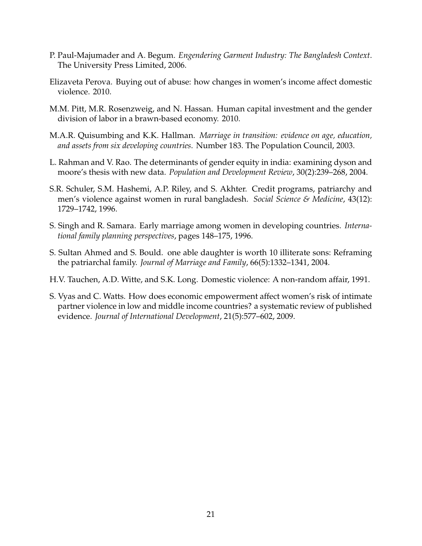- P. Paul-Majumader and A. Begum. *Engendering Garment Industry: The Bangladesh Context*. The University Press Limited, 2006.
- Elizaveta Perova. Buying out of abuse: how changes in women's income affect domestic violence. 2010.
- M.M. Pitt, M.R. Rosenzweig, and N. Hassan. Human capital investment and the gender division of labor in a brawn-based economy. 2010.
- M.A.R. Quisumbing and K.K. Hallman. *Marriage in transition: evidence on age, education, and assets from six developing countries*. Number 183. The Population Council, 2003.
- L. Rahman and V. Rao. The determinants of gender equity in india: examining dyson and moore's thesis with new data. *Population and Development Review*, 30(2):239–268, 2004.
- S.R. Schuler, S.M. Hashemi, A.P. Riley, and S. Akhter. Credit programs, patriarchy and men's violence against women in rural bangladesh. *Social Science & Medicine*, 43(12): 1729–1742, 1996.
- S. Singh and R. Samara. Early marriage among women in developing countries. *International family planning perspectives*, pages 148–175, 1996.
- S. Sultan Ahmed and S. Bould. one able daughter is worth 10 illiterate sons: Reframing the patriarchal family. *Journal of Marriage and Family*, 66(5):1332–1341, 2004.
- H.V. Tauchen, A.D. Witte, and S.K. Long. Domestic violence: A non-random affair, 1991.
- S. Vyas and C. Watts. How does economic empowerment affect women's risk of intimate partner violence in low and middle income countries? a systematic review of published evidence. *Journal of International Development*, 21(5):577–602, 2009.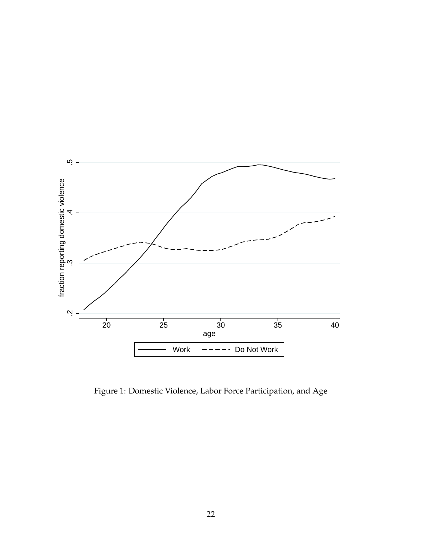

Figure 1: Domestic Violence, Labor Force Participation, and Age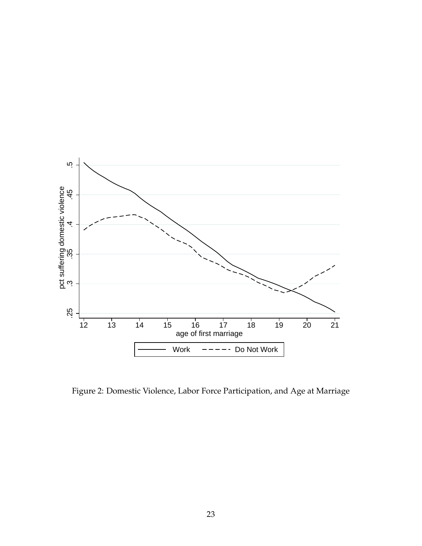

Figure 2: Domestic Violence, Labor Force Participation, and Age at Marriage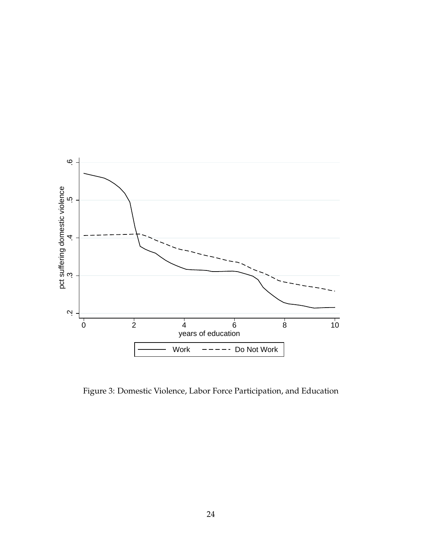

Figure 3: Domestic Violence, Labor Force Participation, and Education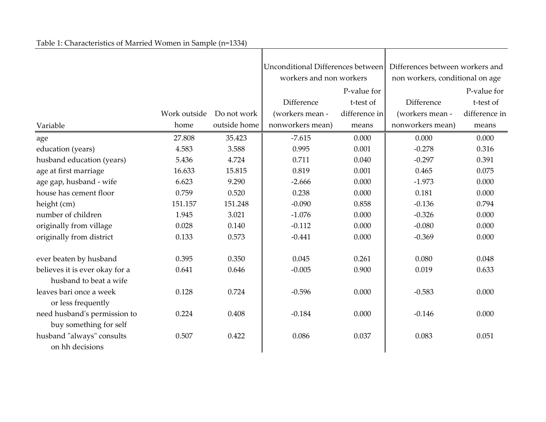## Table 1: Characteristics of Married Women in Sample (n=1334)

|                                                          |              |              | Unconditional Differences between |               | Differences between workers and |               |
|----------------------------------------------------------|--------------|--------------|-----------------------------------|---------------|---------------------------------|---------------|
|                                                          |              |              | workers and non workers           |               | non workers, conditional on age |               |
|                                                          |              |              |                                   | P-value for   |                                 | P-value for   |
|                                                          |              |              | Difference                        | t-test of     | Difference                      | t-test of     |
|                                                          | Work outside | Do not work  | (workers mean -                   | difference in | (workers mean -                 | difference in |
| Variable                                                 | home         | outside home | nonworkers mean)                  | means         | nonworkers mean)                | means         |
| age                                                      | 27.808       | 35.423       | $-7.615$                          | 0.000         | 0.000                           | 0.000         |
| education (years)                                        | 4.583        | 3.588        | 0.995                             | 0.001         | $-0.278$                        | 0.316         |
| husband education (years)                                | 5.436        | 4.724        | 0.711                             | 0.040         | $-0.297$                        | 0.391         |
| age at first marriage                                    | 16.633       | 15.815       | 0.819                             | 0.001         | 0.465                           | 0.075         |
| age gap, husband - wife                                  | 6.623        | 9.290        | $-2.666$                          | 0.000         | $-1.973$                        | 0.000         |
| house has cement floor                                   | 0.759        | 0.520        | 0.238                             | 0.000         | 0.181                           | 0.000         |
| height (cm)                                              | 151.157      | 151.248      | $-0.090$                          | 0.858         | $-0.136$                        | 0.794         |
| number of children                                       | 1.945        | 3.021        | $-1.076$                          | 0.000         | $-0.326$                        | 0.000         |
| originally from village                                  | 0.028        | 0.140        | $-0.112$                          | 0.000         | $-0.080$                        | 0.000         |
| originally from district                                 | 0.133        | 0.573        | $-0.441$                          | 0.000         | $-0.369$                        | 0.000         |
|                                                          | 0.395        | 0.350        | 0.045                             | 0.261         | 0.080                           |               |
| ever beaten by husband                                   |              |              |                                   |               |                                 | 0.048         |
| believes it is ever okay for a<br>husband to beat a wife | 0.641        | 0.646        | $-0.005$                          | 0.900         | 0.019                           | 0.633         |
| leaves bari once a week<br>or less frequently            | 0.128        | 0.724        | $-0.596$                          | 0.000         | $-0.583$                        | 0.000         |
| need husband's permission to<br>buy something for self   | 0.224        | 0.408        | $-0.184$                          | 0.000         | $-0.146$                        | 0.000         |
| husband "always" consults<br>on hh decisions             | 0.507        | 0.422        | 0.086                             | 0.037         | 0.083                           | 0.051         |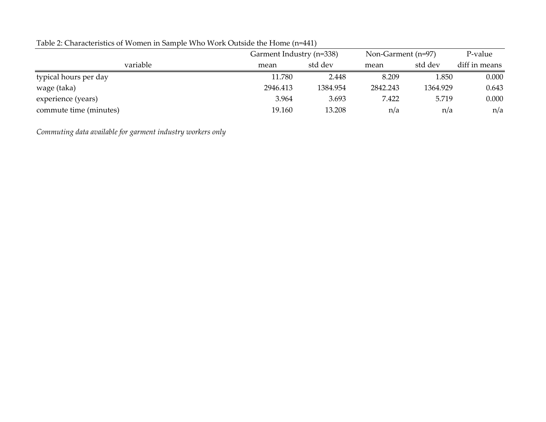|                        | Garment Industry (n=338) |          | Non-Garment (n=97) |          | P-value       |
|------------------------|--------------------------|----------|--------------------|----------|---------------|
| variable               | mean                     | std dev  | mean               | std dev  | diff in means |
| typical hours per day  | 11.780                   | 2.448    | 8.209              | 1.850    | 0.000         |
| wage (taka)            | 2946.413                 | 1384.954 | 2842.243           | 1364.929 | 0.643         |
| experience (years)     | 3.964                    | 3.693    | 7.422              | 5.719    | 0.000         |
| commute time (minutes) | 19.160                   | 13.208   | n/a                | n/a      | n/a           |

Table 2: Characteristics of Women in Sample Who Work Outside the Home (n=441)

*Commuting data available for garment industry workers only*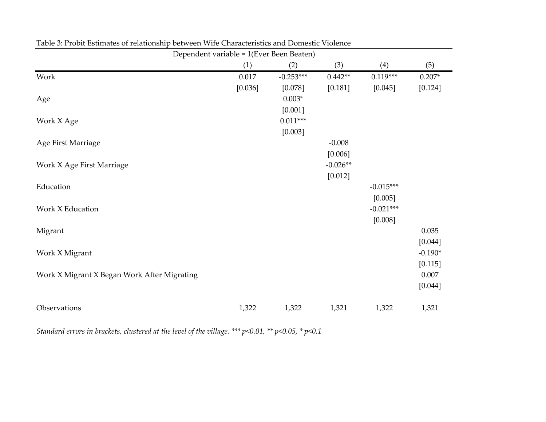|                                             | Dependent variable = 1(Ever Been Beaten) |             |            |             |           |  |  |
|---------------------------------------------|------------------------------------------|-------------|------------|-------------|-----------|--|--|
|                                             | (1)                                      | (2)         | (3)        | (4)         | (5)       |  |  |
| Work                                        | 0.017                                    | $-0.253***$ | $0.442**$  | $0.119***$  | $0.207*$  |  |  |
|                                             | [0.036]                                  | [0.078]     | [0.181]    | [0.045]     | [0.124]   |  |  |
| Age                                         |                                          | $0.003*$    |            |             |           |  |  |
|                                             |                                          | [0.001]     |            |             |           |  |  |
| Work X Age                                  |                                          | $0.011***$  |            |             |           |  |  |
|                                             |                                          | [0.003]     |            |             |           |  |  |
| Age First Marriage                          |                                          |             | $-0.008$   |             |           |  |  |
|                                             |                                          |             | [0.006]    |             |           |  |  |
| Work X Age First Marriage                   |                                          |             | $-0.026**$ |             |           |  |  |
|                                             |                                          |             | [0.012]    |             |           |  |  |
| Education                                   |                                          |             |            | $-0.015***$ |           |  |  |
|                                             |                                          |             |            | [0.005]     |           |  |  |
| Work X Education                            |                                          |             |            | $-0.021***$ |           |  |  |
|                                             |                                          |             |            | [0.008]     |           |  |  |
| Migrant                                     |                                          |             |            |             | 0.035     |  |  |
|                                             |                                          |             |            |             | [0.044]   |  |  |
| Work X Migrant                              |                                          |             |            |             | $-0.190*$ |  |  |
|                                             |                                          |             |            |             | [0.115]   |  |  |
| Work X Migrant X Began Work After Migrating |                                          |             |            |             | 0.007     |  |  |
|                                             |                                          |             |            |             | [0.044]   |  |  |
|                                             |                                          |             |            |             |           |  |  |
| Observations                                | 1,322                                    | 1,322       | 1,321      | 1,322       | 1,321     |  |  |

Table 3: Probit Estimates of relationship between Wife Characteristics and Domestic Violence

*Standard errors in brackets, clustered at the level of the village. \*\*\* p<0.01, \*\* p<0.05, \* p<0.1*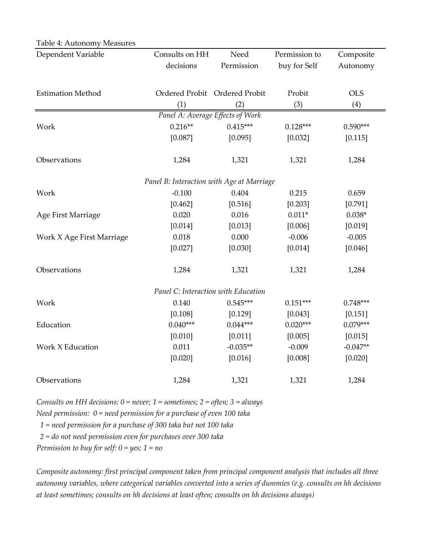| Dependent Variable        | Consults on HH                            | Need                          | Permission to | Composite  |
|---------------------------|-------------------------------------------|-------------------------------|---------------|------------|
|                           | decisions                                 | Permission                    | buy for Self  | Autonomy   |
|                           |                                           |                               |               |            |
| <b>Estimation Method</b>  |                                           | Ordered Probit Ordered Probit | Probit        | <b>OLS</b> |
|                           | (1)                                       | (2)                           | (3)           | (4)        |
|                           | Panel A: Average Effects of Work          |                               |               |            |
| Work                      | $0.216**$                                 | $0.415***$                    | $0.128***$    | $0.590***$ |
|                           | [0.087]                                   | [0.095]                       | [0.032]       | [0.115]    |
|                           |                                           |                               |               |            |
| Observations              | 1,284                                     | 1,321                         | 1,321         | 1,284      |
|                           |                                           |                               |               |            |
|                           | Panel B: Interaction with Age at Marriage |                               |               |            |
| Work                      | $-0.100$                                  | 0.404                         | 0.215         | 0.659      |
|                           | [0.462]                                   | [0.516]                       | [0.203]       | [0.791]    |
| Age First Marriage        | 0.020                                     | 0.016                         | $0.011*$      | $0.038*$   |
|                           | [0.014]                                   | [0.013]                       | [0.006]       | [0.019]    |
| Work X Age First Marriage | 0.018                                     | 0.000                         | $-0.006$      | $-0.005$   |
|                           | [0.027]                                   | [0.030]                       | [0.014]       | [0.046]    |
|                           |                                           |                               |               |            |
| Observations              | 1,284                                     | 1,321                         | 1,321         | 1,284      |
|                           |                                           |                               |               |            |
|                           | Panel C: Interaction with Education       |                               |               |            |
| Work                      | 0.140                                     | $0.545***$                    | $0.151***$    | $0.748***$ |
|                           | [0.108]                                   | [0.129]                       | [0.043]       | [0.151]    |
| Education                 | $0.040***$                                | $0.044***$                    | $0.020***$    | $0.079***$ |
|                           | [0.010]                                   | [0.011]                       | [0.005]       | [0.015]    |
| Work X Education          | 0.011                                     | $-0.035**$                    | $-0.009$      | $-0.047**$ |
|                           | [0.020]                                   | [0.016]                       | [0.008]       | [0.020]    |
| Observations              | 1,284                                     | 1,321                         | 1,321         | 1,284      |
|                           |                                           |                               |               |            |

Table 4: Autonomy Measures

*Consults on HH decisions: 0 = never; 1 = sometimes; 2 = often; 3 = always*

*Need permission: 0 = need permission for a purchase of even 100 taka*

 *1 = need permission for a purchase of 300 taka but not 100 taka*

 *2 = do not need permission even for purchases over 300 taka*

*Permission to buy for self: 0 = yes; 1 = no*

*Composite autonomy: first principal component taken from principal component analysis that includes all three autonomy variables, where categorical variables converted into a series of dummies (e.g. consults on hh decisions at least sometimes; consults on hh decisions at least often; consults on hh decisions always)*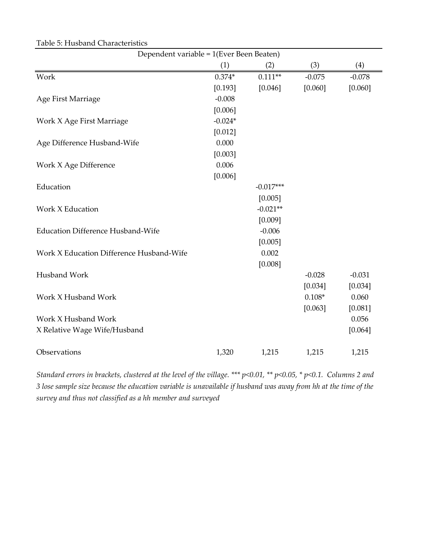| Dependent variable = 1(Ever Been Beaten) |           |             |          |          |
|------------------------------------------|-----------|-------------|----------|----------|
|                                          | (1)       | (2)         | (3)      | (4)      |
| Work                                     | $0.374*$  | $0.111**$   | $-0.075$ | $-0.078$ |
|                                          | [0.193]   | [0.046]     | [0.060]  | [0.060]  |
| Age First Marriage                       | $-0.008$  |             |          |          |
|                                          | [0.006]   |             |          |          |
| Work X Age First Marriage                | $-0.024*$ |             |          |          |
|                                          | [0.012]   |             |          |          |
| Age Difference Husband-Wife              | 0.000     |             |          |          |
|                                          | [0.003]   |             |          |          |
| Work X Age Difference                    | 0.006     |             |          |          |
|                                          | [0.006]   |             |          |          |
| Education                                |           | $-0.017***$ |          |          |
|                                          |           | [0.005]     |          |          |
| Work X Education                         |           | $-0.021**$  |          |          |
|                                          |           | [0.009]     |          |          |
| <b>Education Difference Husband-Wife</b> |           | $-0.006$    |          |          |
|                                          |           | [0.005]     |          |          |
| Work X Education Difference Husband-Wife |           | 0.002       |          |          |
|                                          |           | [0.008]     |          |          |
| Husband Work                             |           |             | $-0.028$ | $-0.031$ |
|                                          |           |             | [0.034]  | [0.034]  |
| Work X Husband Work                      |           |             | $0.108*$ | 0.060    |
|                                          |           |             | [0.063]  | [0.081]  |
| Work X Husband Work                      |           |             |          | 0.056    |
| X Relative Wage Wife/Husband             |           |             |          | [0.064]  |
|                                          |           |             |          |          |
| Observations                             | 1,320     | 1,215       | 1,215    | 1,215    |

Table 5: Husband Characteristics

*Standard errors in brackets, clustered at the level of the village. \*\*\* p<0.01, \*\* p<0.05, \* p<0.1. Columns 2 and 3 lose sample size because the education variable is unavailable if husband was away from hh at the time of the survey and thus not classified as a hh member and surveyed*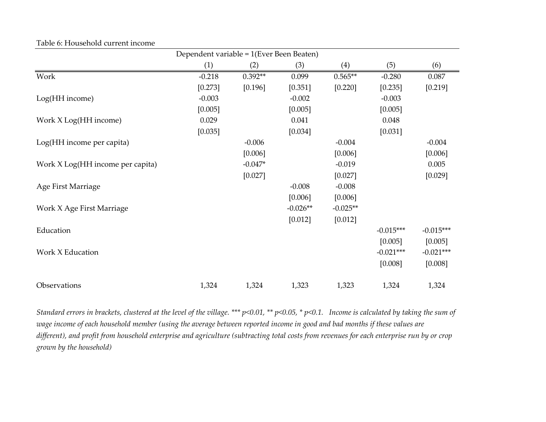|                                  | Dependent variable = 1(Ever Been Beaten) |           |            |            |             |             |
|----------------------------------|------------------------------------------|-----------|------------|------------|-------------|-------------|
|                                  | (1)                                      | (2)       | (3)        | (4)        | (5)         | (6)         |
| Work                             | $-0.218$                                 | $0.392**$ | 0.099      | $0.565**$  | $-0.280$    | 0.087       |
|                                  | [0.273]                                  | [0.196]   | [0.351]    | [0.220]    | [0.235]     | [0.219]     |
| Log(HH income)                   | $-0.003$                                 |           | $-0.002$   |            | $-0.003$    |             |
|                                  | [0.005]                                  |           | [0.005]    |            | [0.005]     |             |
| Work X Log(HH income)            | 0.029                                    |           | 0.041      |            | 0.048       |             |
|                                  | [0.035]                                  |           | [0.034]    |            | [0.031]     |             |
| Log(HH income per capita)        |                                          | $-0.006$  |            | $-0.004$   |             | $-0.004$    |
|                                  |                                          | [0.006]   |            | [0.006]    |             | [0.006]     |
| Work X Log(HH income per capita) |                                          | $-0.047*$ |            | $-0.019$   |             | 0.005       |
|                                  |                                          | [0.027]   |            | [0.027]    |             | [0.029]     |
| Age First Marriage               |                                          |           | $-0.008$   | $-0.008$   |             |             |
|                                  |                                          |           | [0.006]    | [0.006]    |             |             |
| Work X Age First Marriage        |                                          |           | $-0.026**$ | $-0.025**$ |             |             |
|                                  |                                          |           | [0.012]    | [0.012]    |             |             |
| Education                        |                                          |           |            |            | $-0.015***$ | $-0.015***$ |
|                                  |                                          |           |            |            | [0.005]     | [0.005]     |
| Work X Education                 |                                          |           |            |            | $-0.021***$ | $-0.021***$ |
|                                  |                                          |           |            |            | [0.008]     | [0.008]     |
| Observations                     | 1,324                                    | 1,324     | 1,323      | 1,323      | 1,324       | 1,324       |

#### Table 6: Household current income

*Standard errors in brackets, clustered at the level of the village. \*\*\* p<0.01, \*\* p<0.05, \* p<0.1. Income is calculated by taking the sum of wage income of each household member (using the average between reported income in good and bad months if these values are different), and profit from household enterprise and agriculture (subtracting total costs from revenues for each enterprise run by or crop grown by the household)*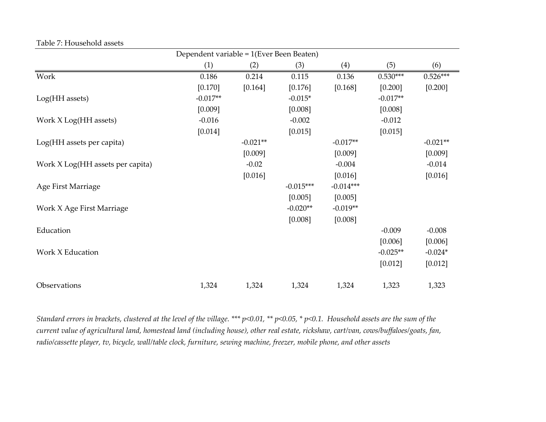|                                  | Dependent variable = 1(Ever Been Beaten) |            |             |             |            |            |
|----------------------------------|------------------------------------------|------------|-------------|-------------|------------|------------|
|                                  | (1)                                      | (2)        | (3)         | (4)         | (5)        | (6)        |
| Work                             | 0.186                                    | 0.214      | 0.115       | 0.136       | $0.530***$ | $0.526***$ |
|                                  | [0.170]                                  | [0.164]    | [0.176]     | [0.168]     | [0.200]    | [0.200]    |
| Log(HH assets)                   | $-0.017**$                               |            | $-0.015*$   |             | $-0.017**$ |            |
|                                  | [0.009]                                  |            | [0.008]     |             | [0.008]    |            |
| Work X Log(HH assets)            | $-0.016$                                 |            | $-0.002$    |             | $-0.012$   |            |
|                                  | [0.014]                                  |            | [0.015]     |             | [0.015]    |            |
| Log(HH assets per capita)        |                                          | $-0.021**$ |             | $-0.017**$  |            | $-0.021**$ |
|                                  |                                          | [0.009]    |             | [0.009]     |            | [0.009]    |
| Work X Log(HH assets per capita) |                                          | $-0.02$    |             | $-0.004$    |            | $-0.014$   |
|                                  |                                          | [0.016]    |             | [0.016]     |            | [0.016]    |
| Age First Marriage               |                                          |            | $-0.015***$ | $-0.014***$ |            |            |
|                                  |                                          |            | [0.005]     | [0.005]     |            |            |
| Work X Age First Marriage        |                                          |            | $-0.020**$  | $-0.019**$  |            |            |
|                                  |                                          |            | [0.008]     | [0.008]     |            |            |
| Education                        |                                          |            |             |             | $-0.009$   | $-0.008$   |
|                                  |                                          |            |             |             | [0.006]    | [0.006]    |
| Work X Education                 |                                          |            |             |             | $-0.025**$ | $-0.024*$  |
|                                  |                                          |            |             |             | [0.012]    | [0.012]    |
| Observations                     | 1,324                                    | 1,324      | 1,324       | 1,324       | 1,323      | 1,323      |

Table 7: Household assets

*Standard errors in brackets, clustered at the level of the village. \*\*\* p<0.01, \*\* p<0.05, \* p<0.1. Household assets are the sum of the current value of agricultural land, homestead land (including house), other real estate, rickshaw, cart/van, cows/buffaloes/goats, fan, radio/cassette player, tv, bicycle, wall/table clock, furniture, sewing machine, freezer, mobile phone, and other assets*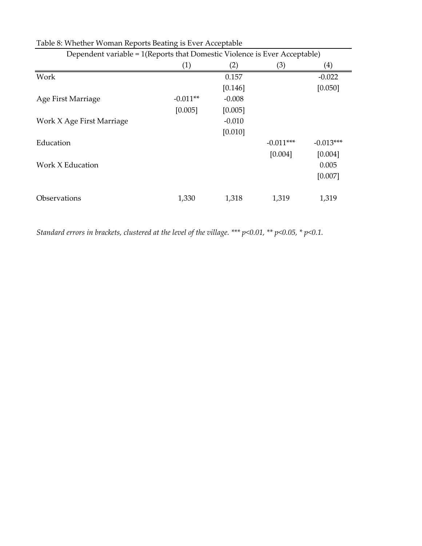| Dependent variable = 1(Reports that Domestic Violence is Ever Acceptable) |            |          |             |             |  |  |
|---------------------------------------------------------------------------|------------|----------|-------------|-------------|--|--|
|                                                                           | (1)        | (2)      | (3)         | (4)         |  |  |
| Work                                                                      |            | 0.157    |             | $-0.022$    |  |  |
|                                                                           |            | [0.146]  |             | [0.050]     |  |  |
| Age First Marriage                                                        | $-0.011**$ | $-0.008$ |             |             |  |  |
|                                                                           | [0.005]    | [0.005]  |             |             |  |  |
| Work X Age First Marriage                                                 |            | $-0.010$ |             |             |  |  |
|                                                                           |            | [0.010]  |             |             |  |  |
| Education                                                                 |            |          | $-0.011***$ | $-0.013***$ |  |  |
|                                                                           |            |          | [0.004]     | [0.004]     |  |  |
| Work X Education                                                          |            |          |             | 0.005       |  |  |
|                                                                           |            |          |             | [0.007]     |  |  |
| Observations                                                              | 1,330      | 1,318    | 1,319       | 1,319       |  |  |

Table 8: Whether Woman Reports Beating is Ever Acceptable

*Standard errors in brackets, clustered at the level of the village. \*\*\* p<0.01, \*\* p<0.05, \* p<0.1.*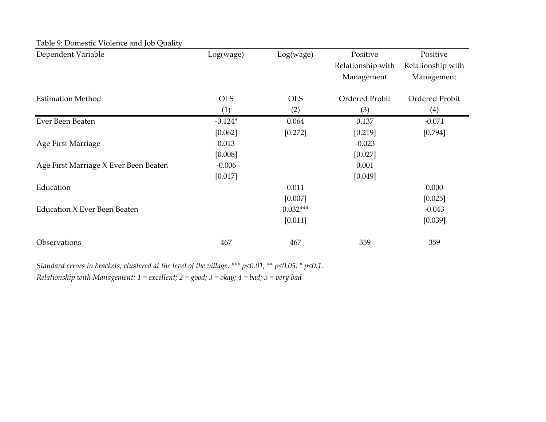| Dependent Variable                    | Log(wage)  | Log(wage)  | Positive          | Positive          |
|---------------------------------------|------------|------------|-------------------|-------------------|
|                                       |            |            | Relationship with | Relationship with |
|                                       |            |            | Management        | Management        |
| <b>Estimation Method</b>              | <b>OLS</b> | <b>OLS</b> | Ordered Probit    | Ordered Probit    |
|                                       | (1)        | (2)        | (3)               | (4)               |
| Ever Been Beaten                      | $-0.124*$  | 0.064      | 0.137             | $-0.071$          |
|                                       | [0.062]    | [0.272]    | [0.219]           | [0.794]           |
| Age First Marriage                    | 0.013      |            | $-0.023$          |                   |
|                                       | [0.008]    |            | [0.027]           |                   |
| Age First Marriage X Ever Been Beaten | $-0.006$   |            | 0.001             |                   |
|                                       | [0.017]    |            | [0.049]           |                   |
| Education                             |            | 0.011      |                   | 0.000             |
|                                       |            | [0.007]    |                   | [0.025]           |
| <b>Education X Ever Been Beaten</b>   |            | $0.032***$ |                   | $-0.043$          |
|                                       |            | [0.011]    |                   | [0.039]           |
| Observations                          | 467        | 467        | 359               | 359               |

Table 9: Domestic Violence and Job Quality

*Standard errors in brackets, clustered at the level of the village. \*\*\* p<0.01, \*\* p<0.05, \* p<0.1. Relationship with Management: 1 = excellent; 2 = good; 3 = okay; 4 = bad; 5 = very bad*